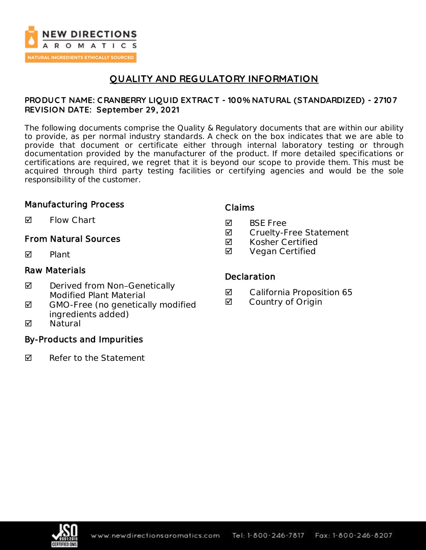

# **QUALITY AND REGULATORY INFORMATION**

### **PRODUC T NAME: C RANBERRY LIQUID EXTRAC T - 100% NATURAL (STANDARDIZED) - 27107 REVISION DATE: September 29, 2021**

The following documents comprise the Quality & Regulatory documents that are within our ability to provide, as per normal industry standards. A check on the box indicates that we are able to provide that document or certificate either through internal laboratory testing or through documentation provided by the manufacturer of the product. If more detailed specifications or certifications are required, we regret that it is beyond our scope to provide them. This must be acquired through third party testing facilities or certifying agencies and would be the sole responsibility of the customer.

### Manufacturing Process

 $\blacksquare$  Flow Chart

### From Natural Sources

 $\nabla$  Plant

### Raw Materials

- ◘ Derived from Non-Genetically Modified Plant Material
- $\boxtimes$  GMO-Free (no genetically modified ingredients added)
- **M** Natural

### By-Products and Impurities

 $\nabla$  Refer to the Statement

### Claims

- **M** BSF Free
- **Ø** Cruelty-Free Statement
- $\boxtimes$  Kosher Certified
- **Ø** Vegan Certified

#### **Declaration**

- California Proposition 65
- **Ø** Country of Origin

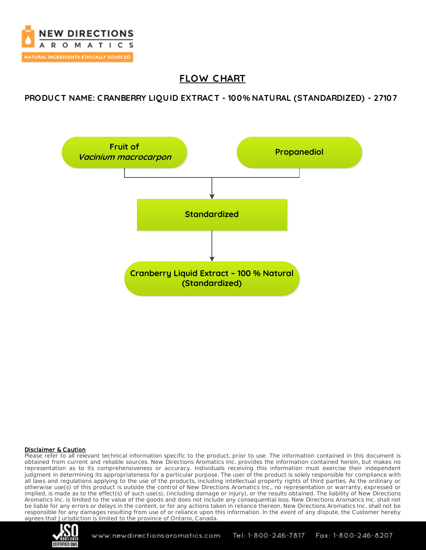

# **FLOW C HART**

### **PRODUC T NAME: C RANBERRY LIQUID EXTRAC T - 100% NATURAL (STANDARDIZED) - 27107**



#### Disclaimer & Caution

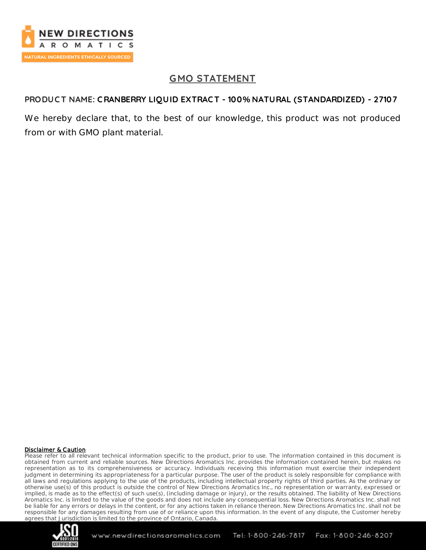

# **GMO STATEMENT**

## **PRODUC T NAME: CRANBERRY LIQUID EXTRAC T - 100% NATURAL (STANDARDIZED) - 27107**

We hereby declare that, to the best of our knowledge, this product was not produced from or with GMO plant material.

#### Disclaimer & Caution

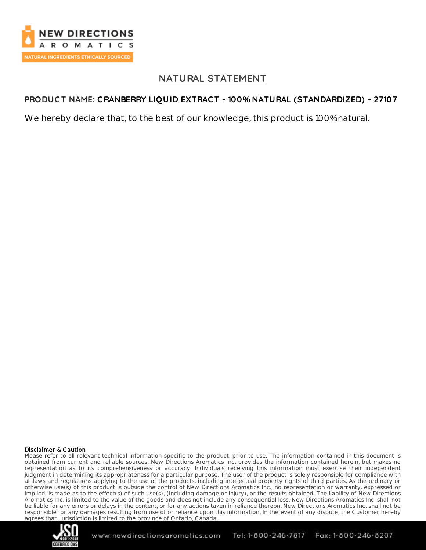

# **NATURAL STATEMENT**

## **PRODUC T NAME: C RANBERRY LIQUID EXTRAC T - 100% NATURAL (STANDARDIZED) - 27107**

We hereby declare that, to the best of our knowledge, this product is 100% natural.

#### Disclaimer & Caution

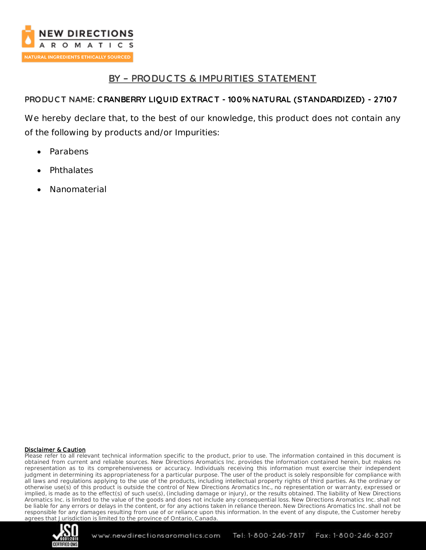

# **BY – PRODUC TS & IMPURITIES STATEMENT**

## **PRODUC T NAME: C RANBERRY LIQUID EXTRAC T - 100% NATURAL (STANDARDIZED) - 27107**

We hereby declare that, to the best of our knowledge, this product does not contain any of the following by products and/or Impurities:

- Parabens
- **Phthalates**
- Nanomaterial

#### Disclaimer & Caution

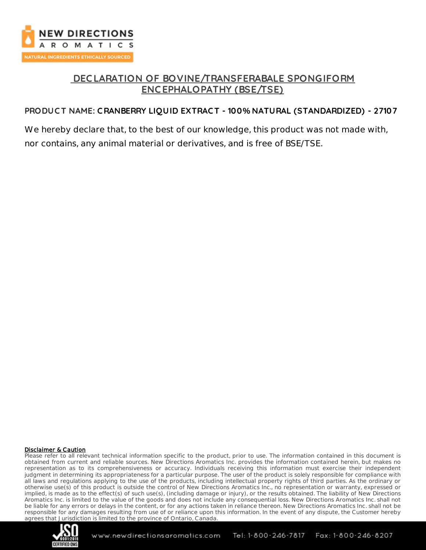

# **DEC LARATION OF BOVINE/TRANSFERABALE SPONGIFORM ENC EPHALOPATHY (BSE/TSE)**

## **PRODUC T NAME: C RANBERRY LIQUID EXTRAC T - 100% NATURAL (STANDARDIZED) - 27107**

We hereby declare that, to the best of our knowledge, this product was not made with, nor contains, any animal material or derivatives, and is free of BSE/TSE.

#### Disclaimer & Caution

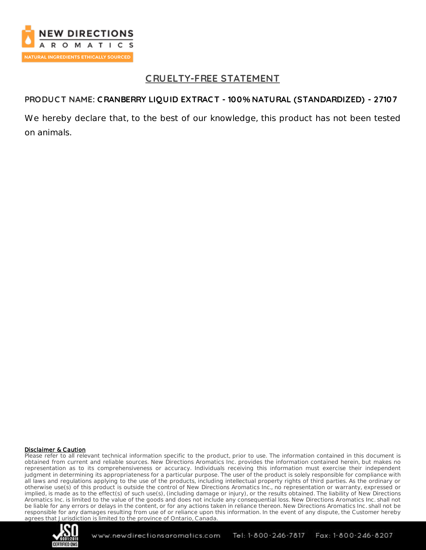

# **C RUELTY-FREE STATEMENT**

### **PRODUC T NAME: C RANBERRY LIQUID EXTRAC T - 100% NATURAL (STANDARDIZED) - 27107**

We hereby declare that, to the best of our knowledge, this product has not been tested on animals.

#### Disclaimer & Caution

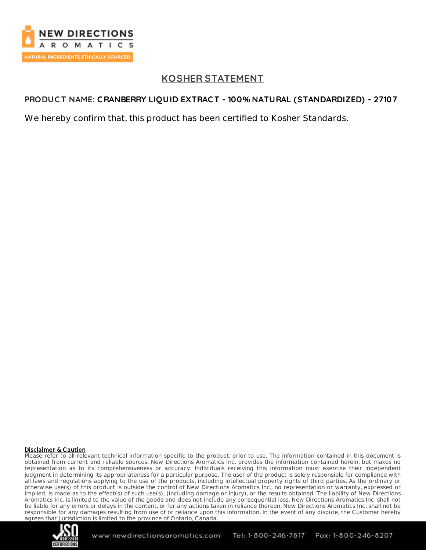

# **KOSHER STATEMENT**

## **PRODUC T NAME: C RANBERRY LIQUID EXTRAC T - 100% NATURAL (STANDARDIZED) - 27107**

We hereby confirm that, this product has been certified to Kosher Standards.

#### Disclaimer & Caution

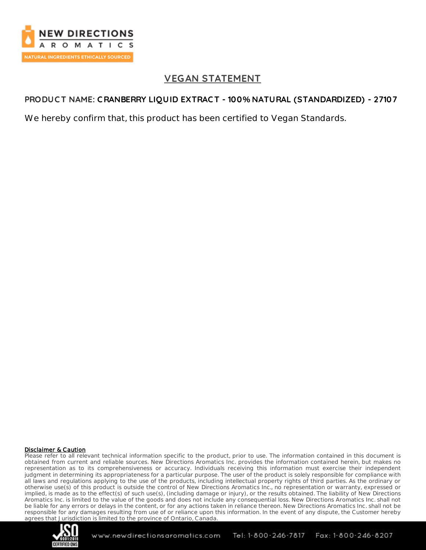

# **VEGAN STATEMENT**

### **PRODUC T NAME: C RANBERRY LIQUID EXTRAC T - 100% NATURAL (STANDARDIZED) - 27107**

We hereby confirm that, this product has been certified to Vegan Standards.

#### Disclaimer & Caution

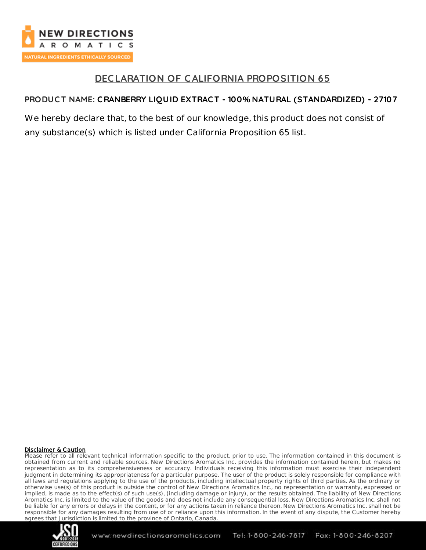

# **DEC LARATION OF CALIFORNIA PROPOSITION 65**

### **PRODUC T NAME: C RANBERRY LIQUID EXTRAC T - 100% NATURAL (STANDARDIZED) - 27107**

We hereby declare that, to the best of our knowledge, this product does not consist of any substance(s) which is listed under California Proposition 65 list.

#### Disclaimer & Caution